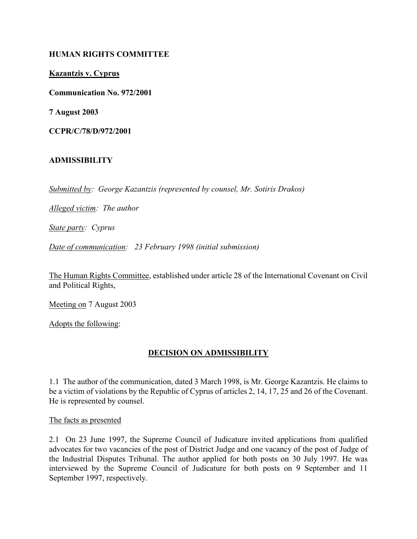### HUMAN RIGHTS COMMITTEE

### Kazantzis v. Cyprus

Communication No. 972/2001

7 August 2003

CCPR/C/78/D/972/2001

### ADMISSIBILITY

Submitted by: George Kazantzis (represented by counsel, Mr. Sotiris Drakos)

Alleged victim: The author

State party: Cyprus

Date of communication: 23 February 1998 (initial submission)

The Human Rights Committee, established under article 28 of the International Covenant on Civil and Political Rights,

Meeting on 7 August 2003

Adopts the following:

# DECISION ON ADMISSIBILITY

1.1 The author of the communication, dated 3 March 1998, is Mr. George Kazantzis. He claims to be a victim of violations by the Republic of Cyprus of articles 2, 14, 17, 25 and 26 of the Covenant. He is represented by counsel.

The facts as presented

2.1 On 23 June 1997, the Supreme Council of Judicature invited applications from qualified advocates for two vacancies of the post of District Judge and one vacancy of the post of Judge of the Industrial Disputes Tribunal. The author applied for both posts on 30 July 1997. He was interviewed by the Supreme Council of Judicature for both posts on 9 September and 11 September 1997, respectively.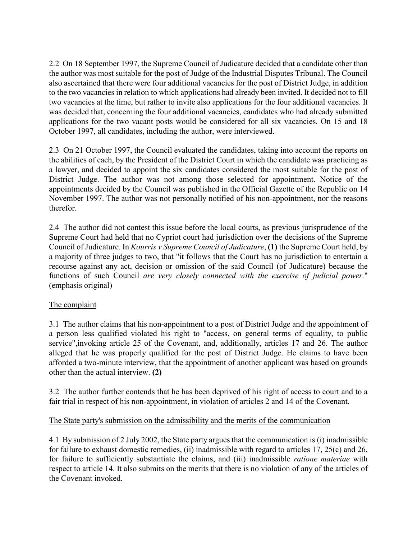2.2 On 18 September 1997, the Supreme Council of Judicature decided that a candidate other than the author was most suitable for the post of Judge of the Industrial Disputes Tribunal. The Council also ascertained that there were four additional vacancies for the post of District Judge, in addition to the two vacancies in relation to which applications had already been invited. It decided not to fill two vacancies at the time, but rather to invite also applications for the four additional vacancies. It was decided that, concerning the four additional vacancies, candidates who had already submitted applications for the two vacant posts would be considered for all six vacancies. On 15 and 18 October 1997, all candidates, including the author, were interviewed.

2.3 On 21 October 1997, the Council evaluated the candidates, taking into account the reports on the abilities of each, by the President of the District Court in which the candidate was practicing as a lawyer, and decided to appoint the six candidates considered the most suitable for the post of District Judge. The author was not among those selected for appointment. Notice of the appointments decided by the Council was published in the Official Gazette of the Republic on 14 November 1997. The author was not personally notified of his non-appointment, nor the reasons therefor.

2.4 The author did not contest this issue before the local courts, as previous jurisprudence of the Supreme Court had held that no Cypriot court had jurisdiction over the decisions of the Supreme Council of Judicature. In Kourris v Supreme Council of Judicature, (1) the Supreme Court held, by a majority of three judges to two, that "it follows that the Court has no jurisdiction to entertain a recourse against any act, decision or omission of the said Council (of Judicature) because the functions of such Council are very closely connected with the exercise of judicial power." (emphasis original)

# The complaint

3.1 The author claims that his non-appointment to a post of District Judge and the appointment of a person less qualified violated his right to "access, on general terms of equality, to public service",invoking article 25 of the Covenant, and, additionally, articles 17 and 26. The author alleged that he was properly qualified for the post of District Judge. He claims to have been afforded a two-minute interview, that the appointment of another applicant was based on grounds other than the actual interview. (2)

3.2 The author further contends that he has been deprived of his right of access to court and to a fair trial in respect of his non-appointment, in violation of articles 2 and 14 of the Covenant.

# The State party's submission on the admissibility and the merits of the communication

4.1 By submission of 2 July 2002, the State party argues that the communication is (i) inadmissible for failure to exhaust domestic remedies, (ii) inadmissible with regard to articles 17, 25(c) and 26, for failure to sufficiently substantiate the claims, and (iii) inadmissible ratione materiae with respect to article 14. It also submits on the merits that there is no violation of any of the articles of the Covenant invoked.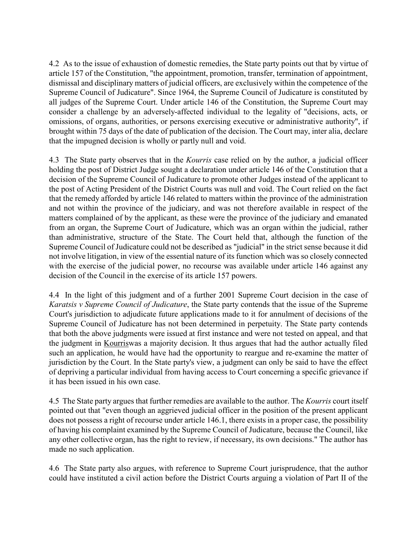4.2 As to the issue of exhaustion of domestic remedies, the State party points out that by virtue of article 157 of the Constitution, "the appointment, promotion, transfer, termination of appointment, dismissal and disciplinary matters of judicial officers, are exclusively within the competence of the Supreme Council of Judicature". Since 1964, the Supreme Council of Judicature is constituted by all judges of the Supreme Court. Under article 146 of the Constitution, the Supreme Court may consider a challenge by an adversely-affected individual to the legality of "decisions, acts, or omissions, of organs, authorities, or persons exercising executive or administrative authority", if brought within 75 days of the date of publication of the decision. The Court may, inter alia, declare that the impugned decision is wholly or partly null and void.

4.3 The State party observes that in the *Kourris* case relied on by the author, a judicial officer holding the post of District Judge sought a declaration under article 146 of the Constitution that a decision of the Supreme Council of Judicature to promote other Judges instead of the applicant to the post of Acting President of the District Courts was null and void. The Court relied on the fact that the remedy afforded by article 146 related to matters within the province of the administration and not within the province of the judiciary, and was not therefore available in respect of the matters complained of by the applicant, as these were the province of the judiciary and emanated from an organ, the Supreme Court of Judicature, which was an organ within the judicial, rather than administrative, structure of the State. The Court held that, although the function of the Supreme Council of Judicature could not be described as "judicial" in the strict sense because it did not involve litigation, in view of the essential nature of its function which was so closely connected with the exercise of the judicial power, no recourse was available under article 146 against any decision of the Council in the exercise of its article 157 powers.

4.4 In the light of this judgment and of a further 2001 Supreme Court decision in the case of Karatsis v Supreme Council of Judicature, the State party contends that the issue of the Supreme Court's jurisdiction to adjudicate future applications made to it for annulment of decisions of the Supreme Council of Judicature has not been determined in perpetuity. The State party contends that both the above judgments were issued at first instance and were not tested on appeal, and that the judgment in Kourriswas a majority decision. It thus argues that had the author actually filed such an application, he would have had the opportunity to reargue and re-examine the matter of jurisdiction by the Court. In the State party's view, a judgment can only be said to have the effect of depriving a particular individual from having access to Court concerning a specific grievance if it has been issued in his own case.

4.5 The State party argues that further remedies are available to the author. The Kourris court itself pointed out that "even though an aggrieved judicial officer in the position of the present applicant does not possess a right of recourse under article 146.1, there exists in a proper case, the possibility of having his complaint examined by the Supreme Council of Judicature, because the Council, like any other collective organ, has the right to review, if necessary, its own decisions." The author has made no such application.

4.6 The State party also argues, with reference to Supreme Court jurisprudence, that the author could have instituted a civil action before the District Courts arguing a violation of Part II of the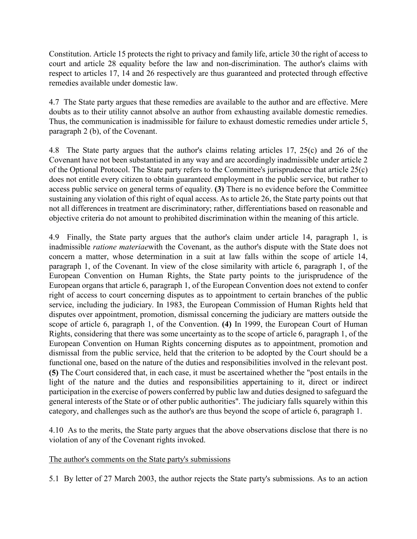Constitution. Article 15 protects the right to privacy and family life, article 30 the right of access to court and article 28 equality before the law and non-discrimination. The author's claims with respect to articles 17, 14 and 26 respectively are thus guaranteed and protected through effective remedies available under domestic law.

4.7 The State party argues that these remedies are available to the author and are effective. Mere doubts as to their utility cannot absolve an author from exhausting available domestic remedies. Thus, the communication is inadmissible for failure to exhaust domestic remedies under article 5, paragraph 2 (b), of the Covenant.

4.8 The State party argues that the author's claims relating articles 17, 25(c) and 26 of the Covenant have not been substantiated in any way and are accordingly inadmissible under article 2 of the Optional Protocol. The State party refers to the Committee's jurisprudence that article 25(c) does not entitle every citizen to obtain guaranteed employment in the public service, but rather to access public service on general terms of equality. (3) There is no evidence before the Committee sustaining any violation of this right of equal access. As to article 26, the State party points out that not all differences in treatment are discriminatory; rather, differentiations based on reasonable and objective criteria do not amount to prohibited discrimination within the meaning of this article.

4.9 Finally, the State party argues that the author's claim under article 14, paragraph 1, is inadmissible ratione materiaewith the Covenant, as the author's dispute with the State does not concern a matter, whose determination in a suit at law falls within the scope of article 14, paragraph 1, of the Covenant. In view of the close similarity with article 6, paragraph 1, of the European Convention on Human Rights, the State party points to the jurisprudence of the European organs that article 6, paragraph 1, of the European Convention does not extend to confer right of access to court concerning disputes as to appointment to certain branches of the public service, including the judiciary. In 1983, the European Commission of Human Rights held that disputes over appointment, promotion, dismissal concerning the judiciary are matters outside the scope of article 6, paragraph 1, of the Convention. (4) In 1999, the European Court of Human Rights, considering that there was some uncertainty as to the scope of article 6, paragraph 1, of the European Convention on Human Rights concerning disputes as to appointment, promotion and dismissal from the public service, held that the criterion to be adopted by the Court should be a functional one, based on the nature of the duties and responsibilities involved in the relevant post. (5) The Court considered that, in each case, it must be ascertained whether the "post entails in the light of the nature and the duties and responsibilities appertaining to it, direct or indirect participation in the exercise of powers conferred by public law and duties designed to safeguard the general interests of the State or of other public authorities". The judiciary falls squarely within this category, and challenges such as the author's are thus beyond the scope of article 6, paragraph 1.

4.10 As to the merits, the State party argues that the above observations disclose that there is no violation of any of the Covenant rights invoked.

# The author's comments on the State party's submissions

5.1 By letter of 27 March 2003, the author rejects the State party's submissions. As to an action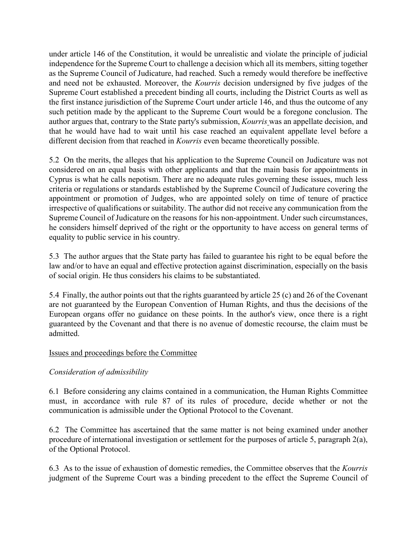under article 146 of the Constitution, it would be unrealistic and violate the principle of judicial independence for the Supreme Court to challenge a decision which all its members, sitting together as the Supreme Council of Judicature, had reached. Such a remedy would therefore be ineffective and need not be exhausted. Moreover, the Kourris decision undersigned by five judges of the Supreme Court established a precedent binding all courts, including the District Courts as well as the first instance jurisdiction of the Supreme Court under article 146, and thus the outcome of any such petition made by the applicant to the Supreme Court would be a foregone conclusion. The author argues that, contrary to the State party's submission, Kourris was an appellate decision, and that he would have had to wait until his case reached an equivalent appellate level before a different decision from that reached in Kourris even became theoretically possible.

5.2 On the merits, the alleges that his application to the Supreme Council on Judicature was not considered on an equal basis with other applicants and that the main basis for appointments in Cyprus is what he calls nepotism. There are no adequate rules governing these issues, much less criteria or regulations or standards established by the Supreme Council of Judicature covering the appointment or promotion of Judges, who are appointed solely on time of tenure of practice irrespective of qualifications or suitability. The author did not receive any communication from the Supreme Council of Judicature on the reasons for his non-appointment. Under such circumstances, he considers himself deprived of the right or the opportunity to have access on general terms of equality to public service in his country.

5.3 The author argues that the State party has failed to guarantee his right to be equal before the law and/or to have an equal and effective protection against discrimination, especially on the basis of social origin. He thus considers his claims to be substantiated.

5.4 Finally, the author points out that the rights guaranteed by article 25 (c) and 26 of the Covenant are not guaranteed by the European Convention of Human Rights, and thus the decisions of the European organs offer no guidance on these points. In the author's view, once there is a right guaranteed by the Covenant and that there is no avenue of domestic recourse, the claim must be admitted.

# Issues and proceedings before the Committee

# Consideration of admissibility

6.1 Before considering any claims contained in a communication, the Human Rights Committee must, in accordance with rule 87 of its rules of procedure, decide whether or not the communication is admissible under the Optional Protocol to the Covenant.

6.2 The Committee has ascertained that the same matter is not being examined under another procedure of international investigation or settlement for the purposes of article 5, paragraph 2(a), of the Optional Protocol.

6.3 As to the issue of exhaustion of domestic remedies, the Committee observes that the Kourris judgment of the Supreme Court was a binding precedent to the effect the Supreme Council of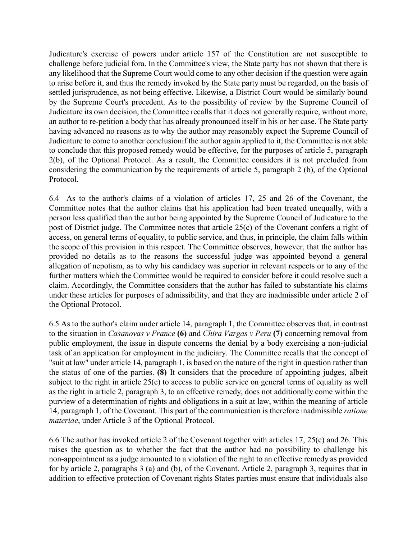Judicature's exercise of powers under article 157 of the Constitution are not susceptible to challenge before judicial fora. In the Committee's view, the State party has not shown that there is any likelihood that the Supreme Court would come to any other decision if the question were again to arise before it, and thus the remedy invoked by the State party must be regarded, on the basis of settled jurisprudence, as not being effective. Likewise, a District Court would be similarly bound by the Supreme Court's precedent. As to the possibility of review by the Supreme Council of Judicature its own decision, the Committee recalls that it does not generally require, without more, an author to re-petition a body that has already pronounced itself in his or her case. The State party having advanced no reasons as to why the author may reasonably expect the Supreme Council of Judicature to come to another conclusionif the author again applied to it, the Committee is not able to conclude that this proposed remedy would be effective, for the purposes of article 5, paragraph 2(b), of the Optional Protocol. As a result, the Committee considers it is not precluded from considering the communication by the requirements of article 5, paragraph 2 (b), of the Optional Protocol.

6.4 As to the author's claims of a violation of articles 17, 25 and 26 of the Covenant, the Committee notes that the author claims that his application had been treated unequally, with a person less qualified than the author being appointed by the Supreme Council of Judicature to the post of District judge. The Committee notes that article 25(c) of the Covenant confers a right of access, on general terms of equality, to public service, and thus, in principle, the claim falls within the scope of this provision in this respect. The Committee observes, however, that the author has provided no details as to the reasons the successful judge was appointed beyond a general allegation of nepotism, as to why his candidacy was superior in relevant respects or to any of the further matters which the Committee would be required to consider before it could resolve such a claim. Accordingly, the Committee considers that the author has failed to substantiate his claims under these articles for purposes of admissibility, and that they are inadmissible under article 2 of the Optional Protocol.

6.5 As to the author's claim under article 14, paragraph 1, the Committee observes that, in contrast to the situation in Casanovas v France (6) and Chira Vargas v Peru (7) concerning removal from public employment, the issue in dispute concerns the denial by a body exercising a non-judicial task of an application for employment in the judiciary. The Committee recalls that the concept of "suit at law" under article 14, paragraph 1, is based on the nature of the right in question rather than the status of one of the parties. (8) It considers that the procedure of appointing judges, albeit subject to the right in article 25(c) to access to public service on general terms of equality as well as the right in article 2, paragraph 3, to an effective remedy, does not additionally come within the purview of a determination of rights and obligations in a suit at law, within the meaning of article 14, paragraph 1, of the Covenant. This part of the communication is therefore inadmissible ratione materiae, under Article 3 of the Optional Protocol.

6.6 The author has invoked article 2 of the Covenant together with articles 17, 25(c) and 26. This raises the question as to whether the fact that the author had no possibility to challenge his non-appointment as a judge amounted to a violation of the right to an effective remedy as provided for by article 2, paragraphs 3 (a) and (b), of the Covenant. Article 2, paragraph 3, requires that in addition to effective protection of Covenant rights States parties must ensure that individuals also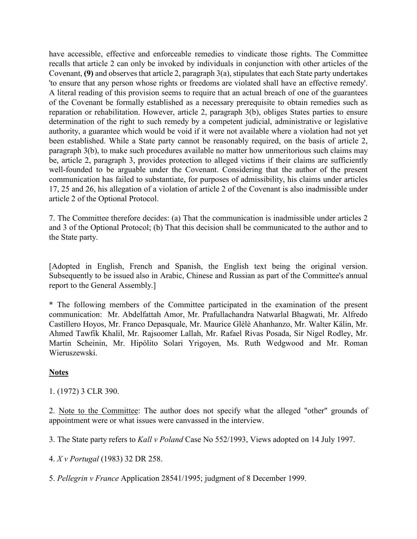have accessible, effective and enforceable remedies to vindicate those rights. The Committee recalls that article 2 can only be invoked by individuals in conjunction with other articles of the Covenant, (9) and observes that article 2, paragraph 3(a), stipulates that each State party undertakes 'to ensure that any person whose rights or freedoms are violated shall have an effective remedy'. A literal reading of this provision seems to require that an actual breach of one of the guarantees of the Covenant be formally established as a necessary prerequisite to obtain remedies such as reparation or rehabilitation. However, article 2, paragraph 3(b), obliges States parties to ensure determination of the right to such remedy by a competent judicial, administrative or legislative authority, a guarantee which would be void if it were not available where a violation had not yet been established. While a State party cannot be reasonably required, on the basis of article 2, paragraph 3(b), to make such procedures available no matter how unmeritorious such claims may be, article 2, paragraph 3, provides protection to alleged victims if their claims are sufficiently well-founded to be arguable under the Covenant. Considering that the author of the present communication has failed to substantiate, for purposes of admissibility, his claims under articles 17, 25 and 26, his allegation of a violation of article 2 of the Covenant is also inadmissible under article 2 of the Optional Protocol.

7. The Committee therefore decides: (a) That the communication is inadmissible under articles 2 and 3 of the Optional Protocol; (b) That this decision shall be communicated to the author and to the State party.

[Adopted in English, French and Spanish, the English text being the original version. Subsequently to be issued also in Arabic, Chinese and Russian as part of the Committee's annual report to the General Assembly.]

\* The following members of the Committee participated in the examination of the present communication: Mr. Abdelfattah Amor, Mr. Prafullachandra Natwarlal Bhagwati, Mr. Alfredo Castillero Hoyos, Mr. Franco Depasquale, Mr. Maurice Glèlè Ahanhanzo, Mr. Walter Kälin, Mr. Ahmed Tawfik Khalil, Mr. Rajsoomer Lallah, Mr. Rafael Rivas Posada, Sir Nigel Rodley, Mr. Martin Scheinin, Mr. Hipólito Solari Yrigoyen, Ms. Ruth Wedgwood and Mr. Roman Wieruszewski.

# **Notes**

1. (1972) 3 CLR 390.

2. Note to the Committee: The author does not specify what the alleged "other" grounds of appointment were or what issues were canvassed in the interview.

3. The State party refers to Kall v Poland Case No 552/1993, Views adopted on 14 July 1997.

4. X v Portugal (1983) 32 DR 258.

5. Pellegrin v France Application 28541/1995; judgment of 8 December 1999.